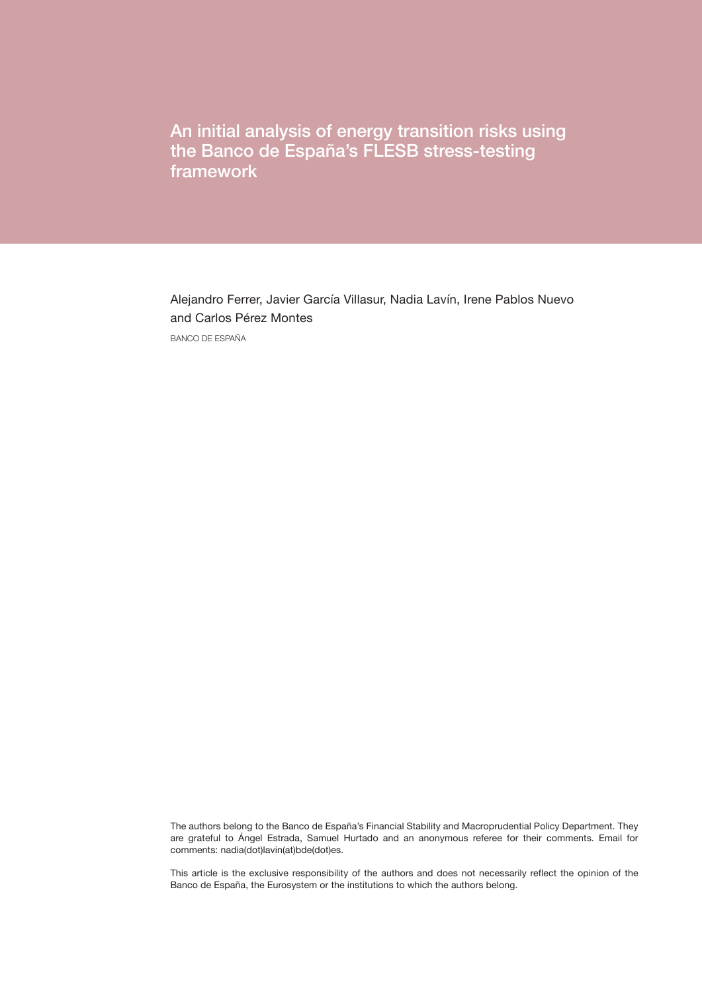An initial analysis of energy transition risks using the Banco de España's FLESB stress-testing framework

Alejandro Ferrer, Javier García Villasur, Nadia Lavín, Irene Pablos Nuevo and Carlos Pérez Montes BANCO DE ESPAÑA

The authors belong to the Banco de España's Financial Stability and Macroprudential Policy Department. They are grateful to Ángel Estrada, Samuel Hurtado and an anonymous referee for their comments. Email for comments: nadia(dot)lavin(at)bde(dot)es.

This article is the exclusive responsibility of the authors and does not necessarily reflect the opinion of the Banco de España, the Eurosystem or the institutions to which the authors belong.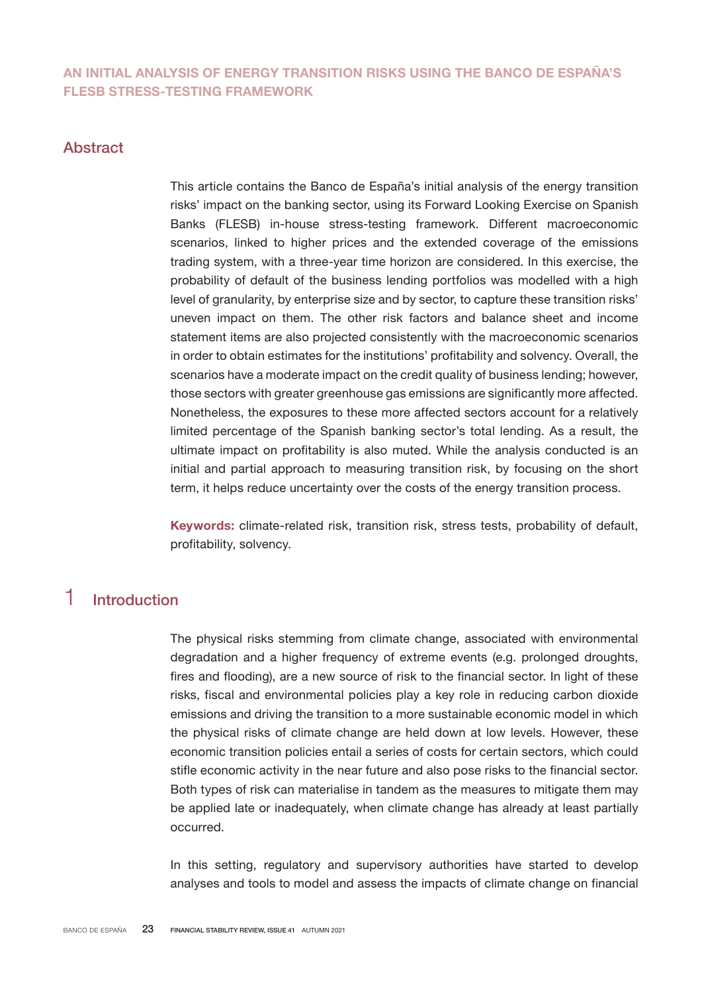## AN INITIAL ANALYSIS OF ENERGY TRANSITION RISKS USING THE BANCO DE ESPAÑA'S FLESB STRESS-TESTING FRAMEWORK

## Abstract

This article contains the Banco de España's initial analysis of the energy transition risks' impact on the banking sector, using its Forward Looking Exercise on Spanish Banks (FLESB) in-house stress-testing framework. Different macroeconomic scenarios, linked to higher prices and the extended coverage of the emissions trading system, with a three-year time horizon are considered. In this exercise, the probability of default of the business lending portfolios was modelled with a high level of granularity, by enterprise size and by sector, to capture these transition risks' uneven impact on them. The other risk factors and balance sheet and income statement items are also projected consistently with the macroeconomic scenarios in order to obtain estimates for the institutions' profitability and solvency. Overall, the scenarios have a moderate impact on the credit quality of business lending; however, those sectors with greater greenhouse gas emissions are significantly more affected. Nonetheless, the exposures to these more affected sectors account for a relatively limited percentage of the Spanish banking sector's total lending. As a result, the ultimate impact on profitability is also muted. While the analysis conducted is an initial and partial approach to measuring transition risk, by focusing on the short term, it helps reduce uncertainty over the costs of the energy transition process.

Keywords: climate-related risk, transition risk, stress tests, probability of default, profitability, solvency.

# 1 Introduction

The physical risks stemming from climate change, associated with environmental degradation and a higher frequency of extreme events (e.g. prolonged droughts, fires and flooding), are a new source of risk to the financial sector. In light of these risks, fiscal and environmental policies play a key role in reducing carbon dioxide emissions and driving the transition to a more sustainable economic model in which the physical risks of climate change are held down at low levels. However, these economic transition policies entail a series of costs for certain sectors, which could stifle economic activity in the near future and also pose risks to the financial sector. Both types of risk can materialise in tandem as the measures to mitigate them may be applied late or inadequately, when climate change has already at least partially occurred.

In this setting, regulatory and supervisory authorities have started to develop analyses and tools to model and assess the impacts of climate change on financial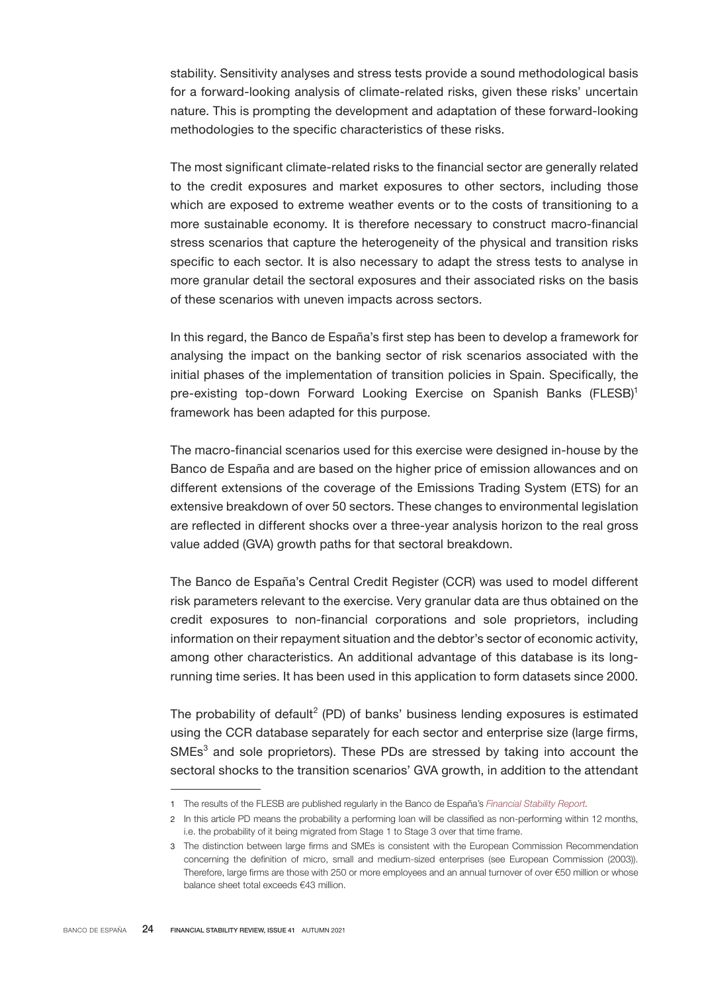stability. Sensitivity analyses and stress tests provide a sound methodological basis for a forward-looking analysis of climate-related risks, given these risks' uncertain nature. This is prompting the development and adaptation of these forward-looking methodologies to the specific characteristics of these risks.

The most significant climate-related risks to the financial sector are generally related to the credit exposures and market exposures to other sectors, including those which are exposed to extreme weather events or to the costs of transitioning to a more sustainable economy. It is therefore necessary to construct macro-financial stress scenarios that capture the heterogeneity of the physical and transition risks specific to each sector. It is also necessary to adapt the stress tests to analyse in more granular detail the sectoral exposures and their associated risks on the basis of these scenarios with uneven impacts across sectors.

In this regard, the Banco de España's first step has been to develop a framework for analysing the impact on the banking sector of risk scenarios associated with the initial phases of the implementation of transition policies in Spain. Specifically, the pre-existing top-down Forward Looking Exercise on Spanish Banks (FLESB)<sup>1</sup> framework has been adapted for this purpose.

The macro-financial scenarios used for this exercise were designed in-house by the Banco de España and are based on the higher price of emission allowances and on different extensions of the coverage of the Emissions Trading System (ETS) for an extensive breakdown of over 50 sectors. These changes to environmental legislation are reflected in different shocks over a three-year analysis horizon to the real gross value added (GVA) growth paths for that sectoral breakdown.

The Banco de España's Central Credit Register (CCR) was used to model different risk parameters relevant to the exercise. Very granular data are thus obtained on the credit exposures to non-financial corporations and sole proprietors, including information on their repayment situation and the debtor's sector of economic activity, among other characteristics. An additional advantage of this database is its longrunning time series. It has been used in this application to form datasets since 2000.

The probability of default<sup>2</sup> (PD) of banks' business lending exposures is estimated using the CCR database separately for each sector and enterprise size (large firms, SMEs<sup>3</sup> and sole proprietors). These PDs are stressed by taking into account the sectoral shocks to the transition scenarios' GVA growth, in addition to the attendant

<sup>1</sup> The results of the FLESB are published regularly in the Banco de España's *[Financial Stability Report.](https://www.bde.es/bde/en/secciones/informes/estabilidad-financiera/informe-de-estabilidad/)*

<sup>2</sup> In this article PD means the probability a performing loan will be classified as non-performing within 12 months, i.e. the probability of it being migrated from Stage 1 to Stage 3 over that time frame.

<sup>3</sup> The distinction between large firms and SMEs is consistent with the European Commission Recommendation concerning the definition of micro, small and medium-sized enterprises (see European Commission (2003)). Therefore, large firms are those with 250 or more employees and an annual turnover of over €50 million or whose balance sheet total exceeds €43 million.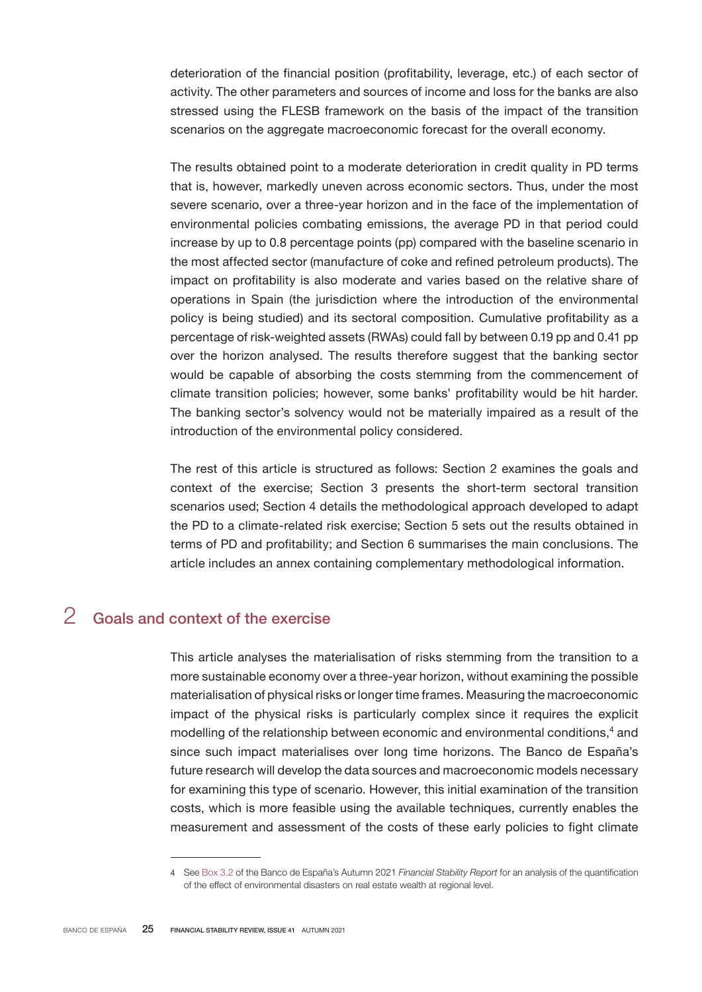deterioration of the financial position (profitability, leverage, etc.) of each sector of activity. The other parameters and sources of income and loss for the banks are also stressed using the FLESB framework on the basis of the impact of the transition scenarios on the aggregate macroeconomic forecast for the overall economy.

The results obtained point to a moderate deterioration in credit quality in PD terms that is, however, markedly uneven across economic sectors. Thus, under the most severe scenario, over a three-year horizon and in the face of the implementation of environmental policies combating emissions, the average PD in that period could increase by up to 0.8 percentage points (pp) compared with the baseline scenario in the most affected sector (manufacture of coke and refined petroleum products). The impact on profitability is also moderate and varies based on the relative share of operations in Spain (the jurisdiction where the introduction of the environmental policy is being studied) and its sectoral composition. Cumulative profitability as a percentage of risk-weighted assets (RWAs) could fall by between 0.19 pp and 0.41 pp over the horizon analysed. The results therefore suggest that the banking sector would be capable of absorbing the costs stemming from the commencement of climate transition policies; however, some banks' profitability would be hit harder. The banking sector's solvency would not be materially impaired as a result of the introduction of the environmental policy considered.

The rest of this article is structured as follows: Section 2 examines the goals and context of the exercise; Section 3 presents the short-term sectoral transition scenarios used; Section 4 details the methodological approach developed to adapt the PD to a climate-related risk exercise; Section 5 sets out the results obtained in terms of PD and profitability; and Section 6 summarises the main conclusions. The article includes an annex containing complementary methodological information.

# 2 Goals and context of the exercise

This article analyses the materialisation of risks stemming from the transition to a more sustainable economy over a three-year horizon, without examining the possible materialisation of physical risks or longer time frames. Measuring the macroeconomic impact of the physical risks is particularly complex since it requires the explicit modelling of the relationship between economic and environmental conditions, $4$  and since such impact materialises over long time horizons. The Banco de España's future research will develop the data sources and macroeconomic models necessary for examining this type of scenario. However, this initial examination of the transition costs, which is more feasible using the available techniques, currently enables the measurement and assessment of the costs of these early policies to fight climate

<sup>4</sup> See [Box 3.2](https://www.bde.es/f/webbde/Secciones/Publicaciones/InformesBoletinesRevistas/InformesEstabilidadFinancera/21/FSR_2021_2_Box3_2.pdf) of the Banco de España's Autumn 2021 *Financial Stability Report* for an analysis of the quantification of the effect of environmental disasters on real estate wealth at regional level.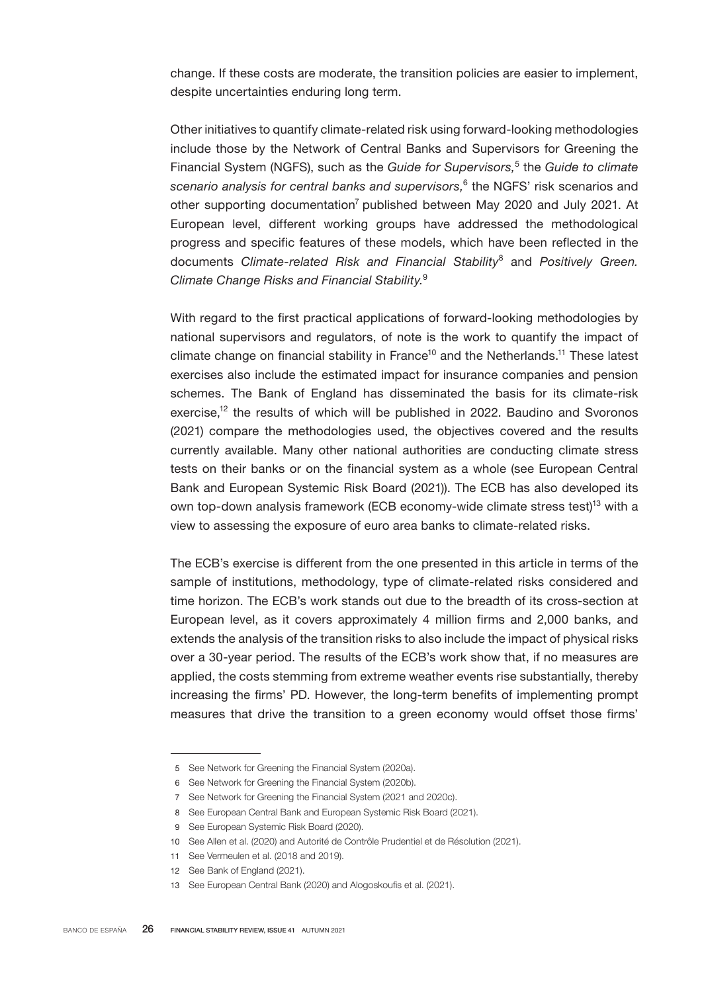change. If these costs are moderate, the transition policies are easier to implement, despite uncertainties enduring long term.

Other initiatives to quantify climate-related risk using forward-looking methodologies include those by the Network of Central Banks and Supervisors for Greening the Financial System (NGFS), such as the *Guide for Supervisors*,<sup>5</sup> the *Guide to climate scenario analysis for central banks and supervisors,*<sup>6</sup> the NGFS' risk scenarios and other supporting documentation<sup>7</sup> published between May 2020 and July 2021. At European level, different working groups have addressed the methodological progress and specific features of these models, which have been reflected in the documents *Climate-related Risk and Financial Stability*<sup>8</sup> and *Positively Green. Climate Change Risks and Financial Stability.*<sup>9</sup>

With regard to the first practical applications of forward-looking methodologies by national supervisors and regulators, of note is the work to quantify the impact of climate change on financial stability in France<sup>10</sup> and the Netherlands.<sup>11</sup> These latest exercises also include the estimated impact for insurance companies and pension schemes. The Bank of England has disseminated the basis for its climate-risk exercise,<sup>12</sup> the results of which will be published in 2022. Baudino and Svoronos (2021) compare the methodologies used, the objectives covered and the results currently available. Many other national authorities are conducting climate stress tests on their banks or on the financial system as a whole (see European Central Bank and European Systemic Risk Board (2021)). The ECB has also developed its own top-down analysis framework (ECB economy-wide climate stress test)<sup>13</sup> with a view to assessing the exposure of euro area banks to climate-related risks.

The ECB's exercise is different from the one presented in this article in terms of the sample of institutions, methodology, type of climate-related risks considered and time horizon. The ECB's work stands out due to the breadth of its cross-section at European level, as it covers approximately 4 million firms and 2,000 banks, and extends the analysis of the transition risks to also include the impact of physical risks over a 30-year period. The results of the ECB's work show that, if no measures are applied, the costs stemming from extreme weather events rise substantially, thereby increasing the firms' PD. However, the long-term benefits of implementing prompt measures that drive the transition to a green economy would offset those firms'

<sup>5</sup> See Network for Greening the Financial System (2020a).

<sup>6</sup> See Network for Greening the Financial System (2020b).

<sup>7</sup> See Network for Greening the Financial System (2021 and 2020c).

<sup>8</sup> See European Central Bank and European Systemic Risk Board (2021).

<sup>9</sup> See European Systemic Risk Board (2020).

<sup>10</sup> See Allen et al. (2020) and Autorité de Contrôle Prudentiel et de Résolution (2021).

<sup>11</sup> See Vermeulen et al. (2018 and 2019).

<sup>12</sup> See Bank of England (2021).

<sup>13</sup> See European Central Bank (2020) and Alogoskoufis et al. (2021).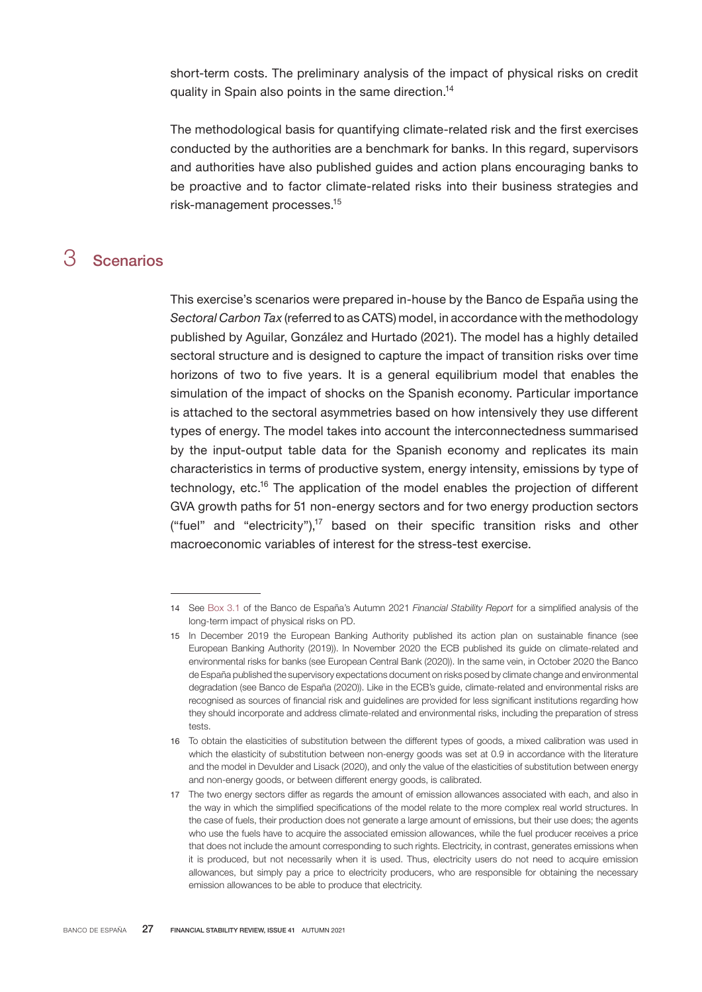short-term costs. The preliminary analysis of the impact of physical risks on credit quality in Spain also points in the same direction.<sup>14</sup>

The methodological basis for quantifying climate-related risk and the first exercises conducted by the authorities are a benchmark for banks. In this regard, supervisors and authorities have also published guides and action plans encouraging banks to be proactive and to factor climate-related risks into their business strategies and risk-management processes.<sup>15</sup>

# 3 Scenarios

This exercise's scenarios were prepared in-house by the Banco de España using the *Sectoral Carbon Tax* (referred to as CATS) model, in accordance with the methodology published by Aguilar, González and Hurtado (2021). The model has a highly detailed sectoral structure and is designed to capture the impact of transition risks over time horizons of two to five years. It is a general equilibrium model that enables the simulation of the impact of shocks on the Spanish economy. Particular importance is attached to the sectoral asymmetries based on how intensively they use different types of energy. The model takes into account the interconnectedness summarised by the input-output table data for the Spanish economy and replicates its main characteristics in terms of productive system, energy intensity, emissions by type of technology, etc.<sup>16</sup> The application of the model enables the projection of different GVA growth paths for 51 non-energy sectors and for two energy production sectors ("fuel" and "electricity"), $17$  based on their specific transition risks and other macroeconomic variables of interest for the stress-test exercise.

<sup>14</sup> See [Box 3.1](https://www.bde.es/f/webbde/Secciones/Publicaciones/InformesBoletinesRevistas/InformesEstabilidadFinancera/21/FSR_2021_2_Box3_1.pdf) of the Banco de España's Autumn 2021 *Financial Stability Report* for a simplified analysis of the long-term impact of physical risks on PD.

<sup>15</sup> In December 2019 the European Banking Authority published its action plan on sustainable finance (see European Banking Authority (2019)). In November 2020 the ECB published its guide on climate-related and environmental risks for banks (see European Central Bank (2020)). In the same vein, in October 2020 the Banco de España published the supervisory expectations document on risks posed by climate change and environmental degradation (see Banco de España (2020)). Like in the ECB's guide, climate-related and environmental risks are recognised as sources of financial risk and guidelines are provided for less significant institutions regarding how they should incorporate and address climate-related and environmental risks, including the preparation of stress tests.

<sup>16</sup> To obtain the elasticities of substitution between the different types of goods, a mixed calibration was used in which the elasticity of substitution between non-energy goods was set at 0.9 in accordance with the literature and the model in Devulder and Lisack (2020), and only the value of the elasticities of substitution between energy and non-energy goods, or between different energy goods, is calibrated.

<sup>17</sup> The two energy sectors differ as regards the amount of emission allowances associated with each, and also in the way in which the simplified specifications of the model relate to the more complex real world structures. In the case of fuels, their production does not generate a large amount of emissions, but their use does; the agents who use the fuels have to acquire the associated emission allowances, while the fuel producer receives a price that does not include the amount corresponding to such rights. Electricity, in contrast, generates emissions when it is produced, but not necessarily when it is used. Thus, electricity users do not need to acquire emission allowances, but simply pay a price to electricity producers, who are responsible for obtaining the necessary emission allowances to be able to produce that electricity.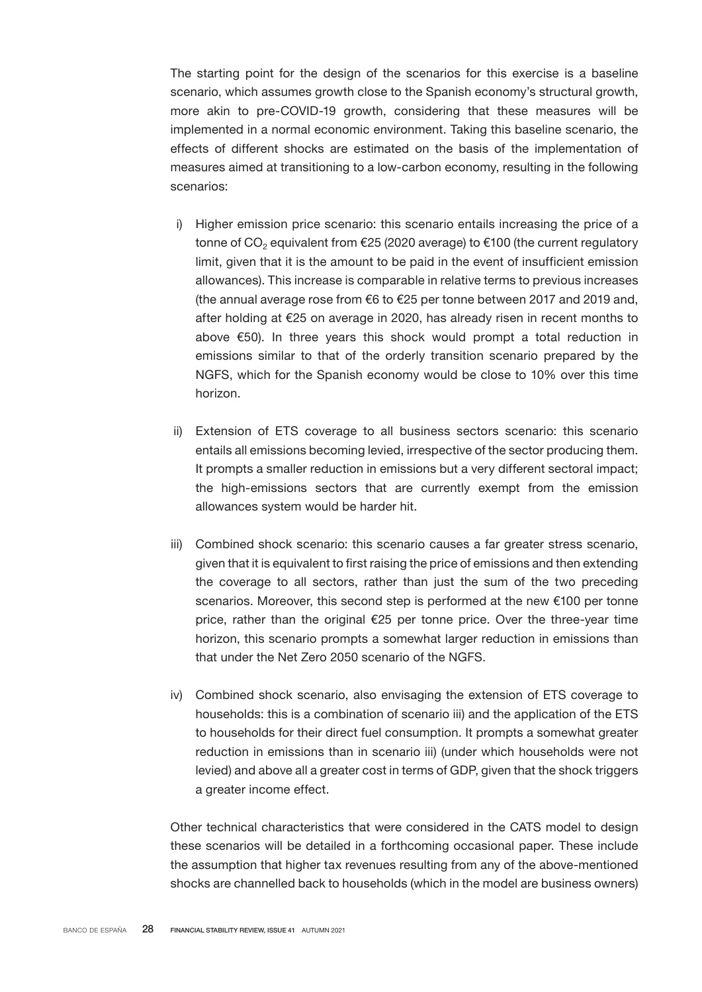The starting point for the design of the scenarios for this exercise is a baseline scenario, which assumes growth close to the Spanish economy's structural growth, more akin to pre-COVID-19 growth, considering that these measures will be implemented in a normal economic environment. Taking this baseline scenario, the effects of different shocks are estimated on the basis of the implementation of measures aimed at transitioning to a low-carbon economy, resulting in the following scenarios:

- i) Higher emission price scenario: this scenario entails increasing the price of a tonne of CO<sub>2</sub> equivalent from  $\epsilon$ 25 (2020 average) to  $\epsilon$ 100 (the current regulatory limit, given that it is the amount to be paid in the event of insufficient emission allowances). This increase is comparable in relative terms to previous increases (the annual average rose from €6 to €25 per tonne between 2017 and 2019 and, after holding at €25 on average in 2020, has already risen in recent months to above €50). In three years this shock would prompt a total reduction in emissions similar to that of the orderly transition scenario prepared by the NGFS, which for the Spanish economy would be close to 10% over this time horizon.
- ii) Extension of ETS coverage to all business sectors scenario: this scenario entails all emissions becoming levied, irrespective of the sector producing them. It prompts a smaller reduction in emissions but a very different sectoral impact; the high-emissions sectors that are currently exempt from the emission allowances system would be harder hit.
- iii) Combined shock scenario: this scenario causes a far greater stress scenario, given that it is equivalent to first raising the price of emissions and then extending the coverage to all sectors, rather than just the sum of the two preceding scenarios. Moreover, this second step is performed at the new €100 per tonne price, rather than the original €25 per tonne price. Over the three-year time horizon, this scenario prompts a somewhat larger reduction in emissions than that under the Net Zero 2050 scenario of the NGFS.
- iv) Combined shock scenario, also envisaging the extension of ETS coverage to households: this is a combination of scenario iii) and the application of the ETS to households for their direct fuel consumption. It prompts a somewhat greater reduction in emissions than in scenario iii) (under which households were not levied) and above all a greater cost in terms of GDP, given that the shock triggers a greater income effect.

Other technical characteristics that were considered in the CATS model to design these scenarios will be detailed in a forthcoming occasional paper. These include the assumption that higher tax revenues resulting from any of the above-mentioned shocks are channelled back to households (which in the model are business owners)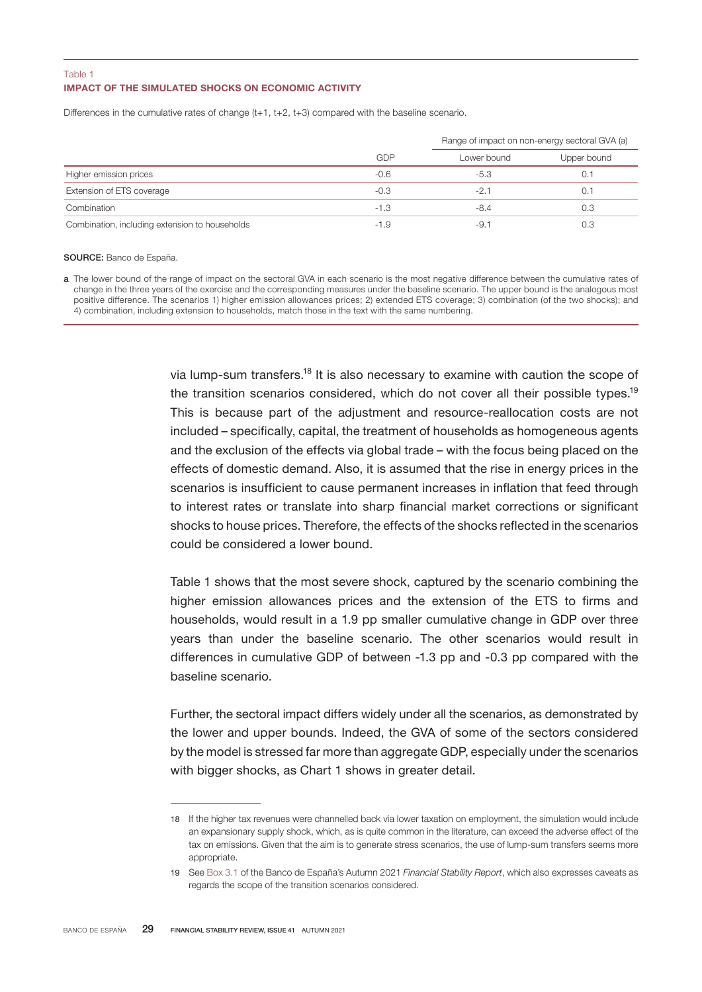#### IMPACT OF THE SIMULATED SHOCKS ON ECONOMIC ACTIVITY Table 1

Differences in the cumulative rates of change (t+1, t+2, t+3) compared with the baseline scenario.

|                                                | GDP    | Range of impact on non-energy sectoral GVA (a) |             |
|------------------------------------------------|--------|------------------------------------------------|-------------|
|                                                |        | Lower bound                                    | Upper bound |
| Higher emission prices                         | $-0.6$ | $-5.3$                                         | 0.1         |
| Extension of ETS coverage                      | $-0.3$ | -2.1                                           | 0.1         |
| Combination                                    | $-1.3$ | $-8.4$                                         | 0.3         |
| Combination, including extension to households | $-1.9$ | -9.                                            | 0.3         |

#### SOURCE: Banco de España.

a The lower bound of the range of impact on the sectoral GVA in each scenario is the most negative difference between the cumulative rates of change in the three years of the exercise and the corresponding measures under the baseline scenario. The upper bound is the analogous most positive difference. The scenarios 1) higher emission allowances prices; 2) extended ETS coverage; 3) combination (of the two shocks); and 4) combination, including extension to households, match those in the text with the same numbering.

> via lump-sum transfers.<sup>18</sup> It is also necessary to examine with caution the scope of the transition scenarios considered, which do not cover all their possible types.<sup>19</sup> This is because part of the adjustment and resource-reallocation costs are not included – specifically, capital, the treatment of households as homogeneous agents and the exclusion of the effects via global trade – with the focus being placed on the effects of domestic demand. Also, it is assumed that the rise in energy prices in the scenarios is insufficient to cause permanent increases in inflation that feed through to interest rates or translate into sharp financial market corrections or significant shocks to house prices. Therefore, the effects of the shocks reflected in the scenarios could be considered a lower bound.

> Table 1 shows that the most severe shock, captured by the scenario combining the higher emission allowances prices and the extension of the ETS to firms and households, would result in a 1.9 pp smaller cumulative change in GDP over three years than under the baseline scenario. The other scenarios would result in differences in cumulative GDP of between -1.3 pp and -0.3 pp compared with the baseline scenario.

> Further, the sectoral impact differs widely under all the scenarios, as demonstrated by the lower and upper bounds. Indeed, the GVA of some of the sectors considered by the model is stressed far more than aggregate GDP, especially under the scenarios with bigger shocks, as Chart 1 shows in greater detail.

<sup>18</sup> If the higher tax revenues were channelled back via lower taxation on employment, the simulation would include an expansionary supply shock, which, as is quite common in the literature, can exceed the adverse effect of the tax on emissions. Given that the aim is to generate stress scenarios, the use of lump-sum transfers seems more appropriate.

<sup>19</sup> See [Box 3.1](https://www.bde.es/f/webbde/Secciones/Publicaciones/InformesBoletinesRevistas/InformesEstabilidadFinancera/21/FSR_2021_2_Box3_1.pdf) of the Banco de España's Autumn 2021 *Financial Stability Report*, which also expresses caveats as regards the scope of the transition scenarios considered.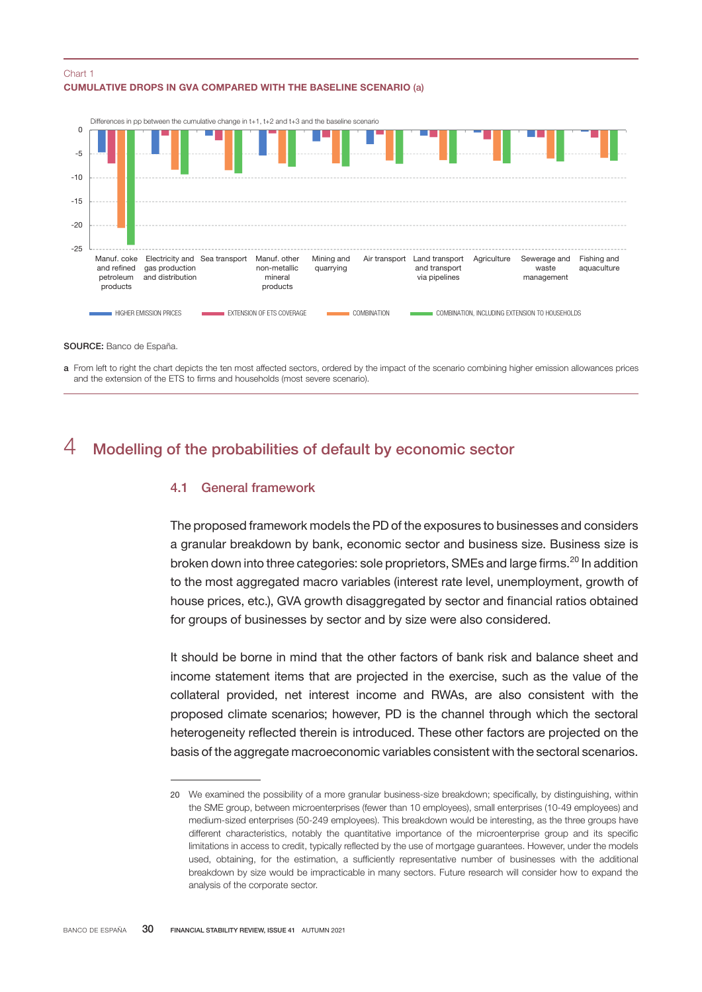### CUMULATIVE DROPS IN GVA COMPARED WITH THE BASELINE SCENARIO (a) Chart 1



SOURCE: Banco de España.

a From left to right the chart depicts the ten most affected sectors, ordered by the impact of the scenario combining higher emission allowances prices and the extension of the ETS to firms and households (most severe scenario).

## 4 Modelling of the probabilities of default by economic sector

## 4.1 General framework

The proposed framework models the PD of the exposures to businesses and considers a granular breakdown by bank, economic sector and business size. Business size is broken down into three categories: sole proprietors, SMEs and large firms.<sup>20</sup> In addition to the most aggregated macro variables (interest rate level, unemployment, growth of house prices, etc.), GVA growth disaggregated by sector and financial ratios obtained for groups of businesses by sector and by size were also considered.

It should be borne in mind that the other factors of bank risk and balance sheet and income statement items that are projected in the exercise, such as the value of the collateral provided, net interest income and RWAs, are also consistent with the proposed climate scenarios; however, PD is the channel through which the sectoral heterogeneity reflected therein is introduced. These other factors are projected on the basis of the aggregate macroeconomic variables consistent with the sectoral scenarios.

<sup>20</sup> We examined the possibility of a more granular business-size breakdown; specifically, by distinguishing, within the SME group, between microenterprises (fewer than 10 employees), small enterprises (10-49 employees) and medium-sized enterprises (50-249 employees). This breakdown would be interesting, as the three groups have different characteristics, notably the quantitative importance of the microenterprise group and its specific limitations in access to credit, typically reflected by the use of mortgage guarantees. However, under the models used, obtaining, for the estimation, a sufficiently representative number of businesses with the additional breakdown by size would be impracticable in many sectors. Future research will consider how to expand the analysis of the corporate sector.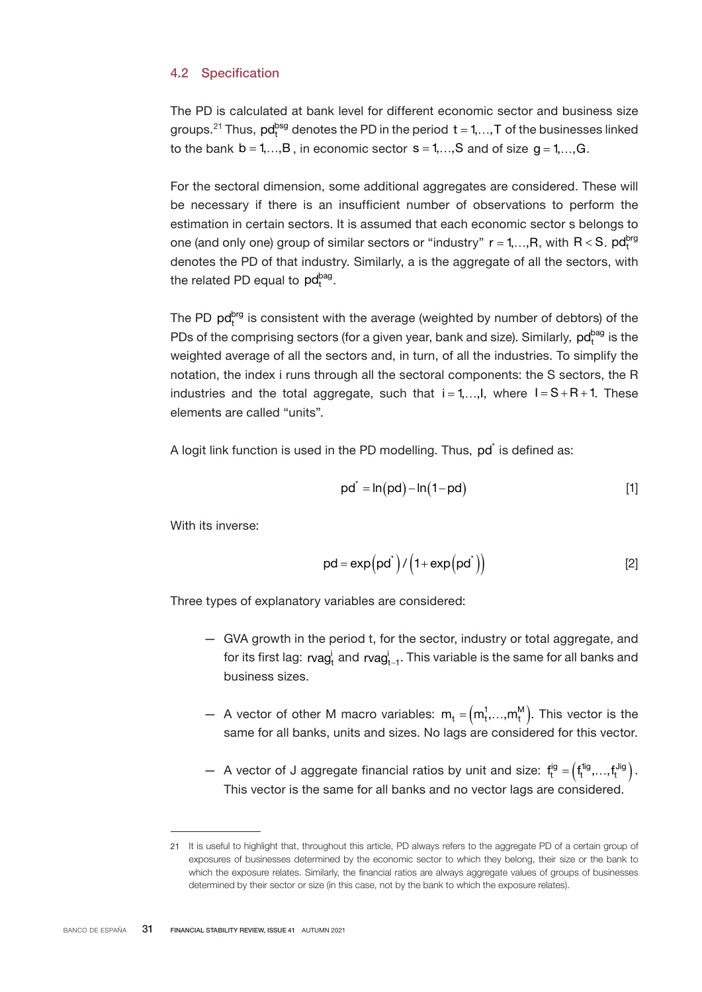## 4.2 Specification

The PD is calculated at bank level for different economic sector and business size groups.<sup>21</sup> Thus,  $pd_r^{bsg}$  denotes the PD in the period  $t = 1, ..., T$  of the businesses linked to the bank  $b = 1, \ldots, B$ , in economic sector  $s = 1, \ldots, S$  and of size  $g = 1, \ldots, G$ .

For the sectoral dimension, some additional aggregates are considered. These will be necessary if there is an insufficient number of observations to perform the estimation in certain sectors. It is assumed that each economic sector s belongs to one (and only one) group of similar sectors or "industry"  $r = 1, ..., R$ , with  $R < S$ .  $pd_r^{brg}$ denotes the PD of that industry. Similarly, a is the aggregate of all the sectors, with the related PD equal to  $pd<sub>t</sub><sup>bag</sup>$ .

The PD  $pd<sub>r</sub><sup>bg</sup>$  is consistent with the average (weighted by number of debtors) of the PDs of the comprising sectors (for a given year, bank and size). Similarly,  $pd<sub>t</sub><sup>bag</sup>$  is the weighted average of all the sectors and, in turn, of all the industries. To simplify the notation, the index i runs through all the sectoral components: the S sectors, the R industries and the total aggregate, such that  $i = 1, \ldots, I$ , where  $I = S + R + 1$ . These elements are called "units".

A logit link function is used in the PD modelling. Thus, pd<sup>\*</sup> is defined as:

$$
pd^* = ln(pd) - ln(1-pd)
$$
 [1]

With its inverse:

$$
pd = exp\left(pd^{*}\right) / \left(1 + exp\left(pd^{*}\right)\right)
$$
 [2]

Three types of explanatory variables are considered:

- GVA growth in the period t, for the sector, industry or total aggregate, and for its first lag:  $\mathsf{rvag}_{\mathsf{t}}^{\mathsf{i}}$  and  $\mathsf{rvag}_{\mathsf{t-1}}^{\mathsf{i}}.$  This variable is the same for all banks and business sizes.
- A vector of other M macro variables:  $m_t = (m_t^1,...,m_t^M)$ . This vector is the same for all banks, units and sizes. No lags are considered for this vector.
- A vector of J aggregate financial ratios by unit and size:  $f_t^{ig} = (f_t^{fig},...,f_t^{Jig})$ . This vector is the same for all banks and no vector lags are considered.

<sup>21</sup> It is useful to highlight that, throughout this article, PD always refers to the aggregate PD of a certain group of exposures of businesses determined by the economic sector to which they belong, their size or the bank to which the exposure relates. Similarly, the financial ratios are always aggregate values of groups of businesses determined by their sector or size (in this case, not by the bank to which the exposure relates).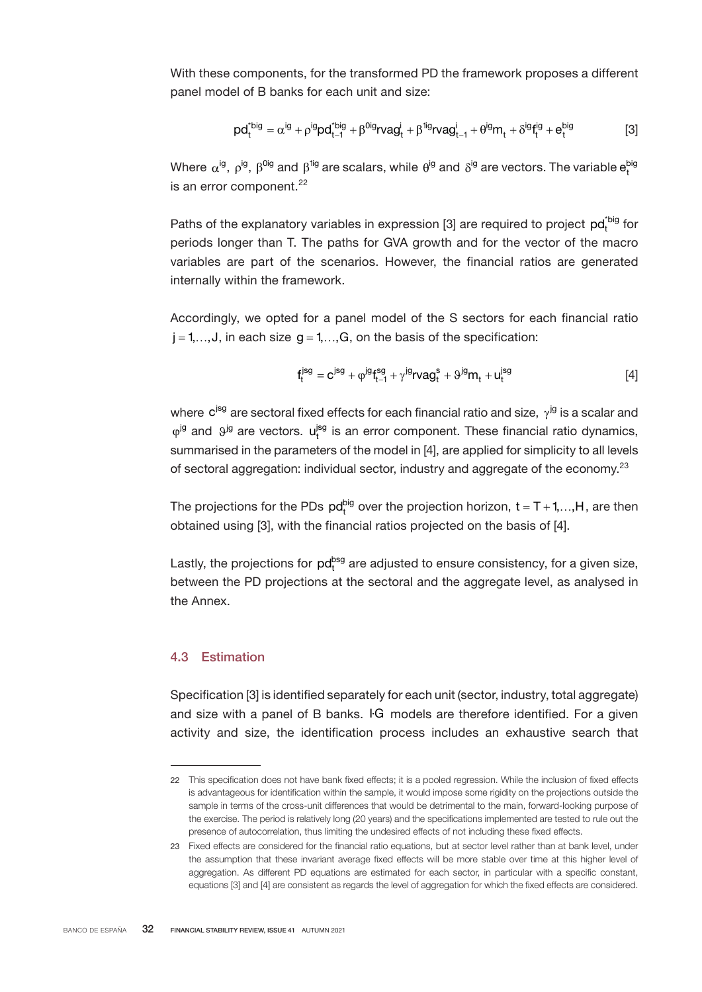With these components, for the transformed PD the framework proposes a different panel model of B banks for each unit and size:

$$
p d_t^{*big} = \alpha^{ig} + \rho^{ig} p d_{t-1}^{*big} + \beta^{0ig} r v a g_t^i + \beta^{1ig} r v a g_{t-1}^i + \theta^{ig} m_t + \delta^{ig} f_t^{ig} + e_t^{big}
$$
 [3]

Where  $\alpha^{ig}$ ,  $\rho^{ig}$ ,  $\beta^{0ig}$  and  $\beta^{1ig}$  are scalars, while  $\theta^{ig}$  and  $\delta^{ig}$  are vectors. The variable  ${\sf e}_{\sf t}^{\sf big}$ is an error component. $^{22}$ 

Paths of the explanatory variables in expression [3] are required to project  $pd<sub>t</sub><sup>tipig</sup>$  for periods longer than T. The paths for GVA growth and for the vector of the macro variables are part of the scenarios. However, the financial ratios are generated internally within the framework.

Accordingly, we opted for a panel model of the S sectors for each financial ratio  $j = 1, \ldots, J$ , in each size  $g = 1, \ldots, G$ , on the basis of the specification:

$$
f_t^{jsg} = c^{jsg} + \varphi^{jg} f_{t-1}^{sg} + \gamma^{jg} r vag_t^s + \vartheta^{jg} m_t + u_t^{jsg}
$$
 [4]

where  $c^{jsg}$  are sectoral fixed effects for each financial ratio and size,  $\gamma^{jg}$  is a scalar and  $\varphi^{jg}$  and  $\vartheta^{jg}$  are vectors.  $u_t^{jsg}$  is an error component. These financial ratio dynamics, summarised in the parameters of the model in [4], are applied for simplicity to all levels of sectoral aggregation: individual sector, industry and aggregate of the economy.<sup>23</sup>

The projections for the PDs  $pd_t^{big}$  over the projection horizon,  $t = T + 1, \dots, H$ , are then obtained using [3], with the financial ratios projected on the basis of [4].

Lastly, the projections for  $pd<sub>t</sub><sup>bsg</sup>$  are adjusted to ensure consistency, for a given size, between the PD projections at the sectoral and the aggregate level, as analysed in the Annex.

### 4.3 Estimation

Specification [3] is identified separately for each unit (sector, industry, total aggregate) and size with a panel of B banks. IG models are therefore identified. For a given activity and size, the identification process includes an exhaustive search that

<sup>22</sup> This specification does not have bank fixed effects; it is a pooled regression. While the inclusion of fixed effects is advantageous for identification within the sample, it would impose some rigidity on the projections outside the sample in terms of the cross-unit differences that would be detrimental to the main, forward-looking purpose of the exercise. The period is relatively long (20 years) and the specifications implemented are tested to rule out the presence of autocorrelation, thus limiting the undesired effects of not including these fixed effects.

<sup>23</sup> Fixed effects are considered for the financial ratio equations, but at sector level rather than at bank level, under the assumption that these invariant average fixed effects will be more stable over time at this higher level of aggregation. As different PD equations are estimated for each sector, in particular with a specific constant, equations [3] and [4] are consistent as regards the level of aggregation for which the fixed effects are considered.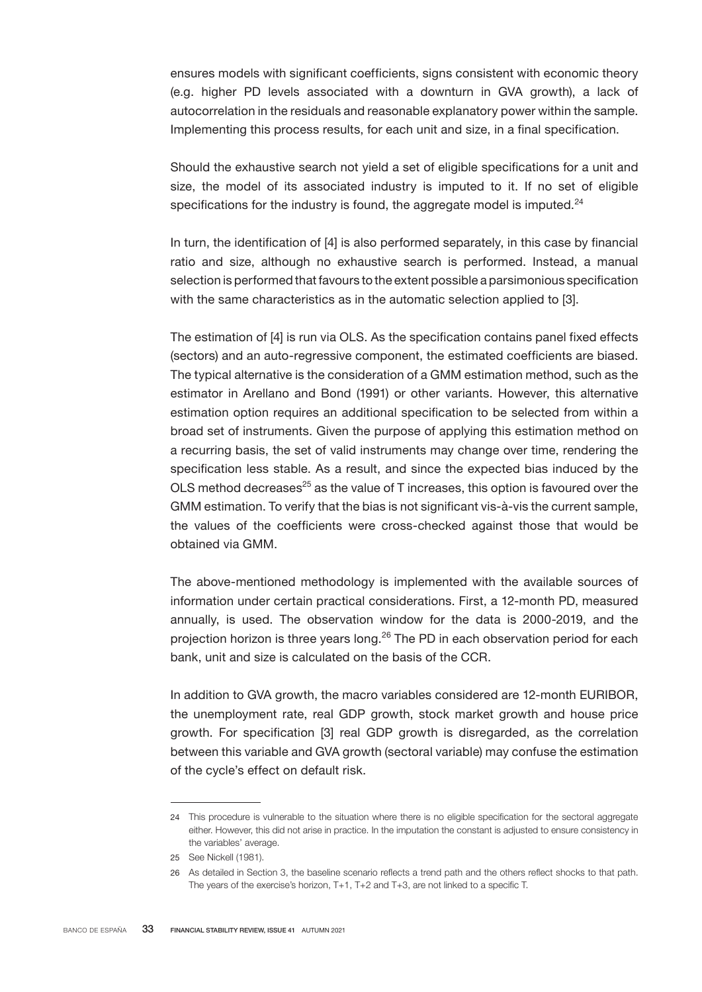ensures models with significant coefficients, signs consistent with economic theory (e.g. higher PD levels associated with a downturn in GVA growth), a lack of autocorrelation in the residuals and reasonable explanatory power within the sample. Implementing this process results, for each unit and size, in a final specification.

Should the exhaustive search not yield a set of eligible specifications for a unit and size, the model of its associated industry is imputed to it. If no set of eligible specifications for the industry is found, the aggregate model is imputed. $24$ 

In turn, the identification of [4] is also performed separately, in this case by financial ratio and size, although no exhaustive search is performed. Instead, a manual selection is performed that favours to the extent possible a parsimonious specification with the same characteristics as in the automatic selection applied to [3].

The estimation of [4] is run via OLS. As the specification contains panel fixed effects (sectors) and an auto-regressive component, the estimated coefficients are biased. The typical alternative is the consideration of a GMM estimation method, such as the estimator in Arellano and Bond (1991) or other variants. However, this alternative estimation option requires an additional specification to be selected from within a broad set of instruments. Given the purpose of applying this estimation method on a recurring basis, the set of valid instruments may change over time, rendering the specification less stable. As a result, and since the expected bias induced by the OLS method decreases $25$  as the value of T increases, this option is favoured over the GMM estimation. To verify that the bias is not significant vis-à-vis the current sample, the values of the coefficients were cross-checked against those that would be obtained via GMM.

The above-mentioned methodology is implemented with the available sources of information under certain practical considerations. First, a 12-month PD, measured annually, is used. The observation window for the data is 2000-2019, and the projection horizon is three years long.<sup>26</sup> The PD in each observation period for each bank, unit and size is calculated on the basis of the CCR.

In addition to GVA growth, the macro variables considered are 12-month EURIBOR, the unemployment rate, real GDP growth, stock market growth and house price growth. For specification [3] real GDP growth is disregarded, as the correlation between this variable and GVA growth (sectoral variable) may confuse the estimation of the cycle's effect on default risk.

<sup>24</sup> This procedure is vulnerable to the situation where there is no eligible specification for the sectoral aggregate either. However, this did not arise in practice. In the imputation the constant is adjusted to ensure consistency in the variables' average.

<sup>25</sup> See Nickell (1981).

<sup>26</sup> As detailed in Section 3, the baseline scenario reflects a trend path and the others reflect shocks to that path. The years of the exercise's horizon, T+1, T+2 and T+3, are not linked to a specific T.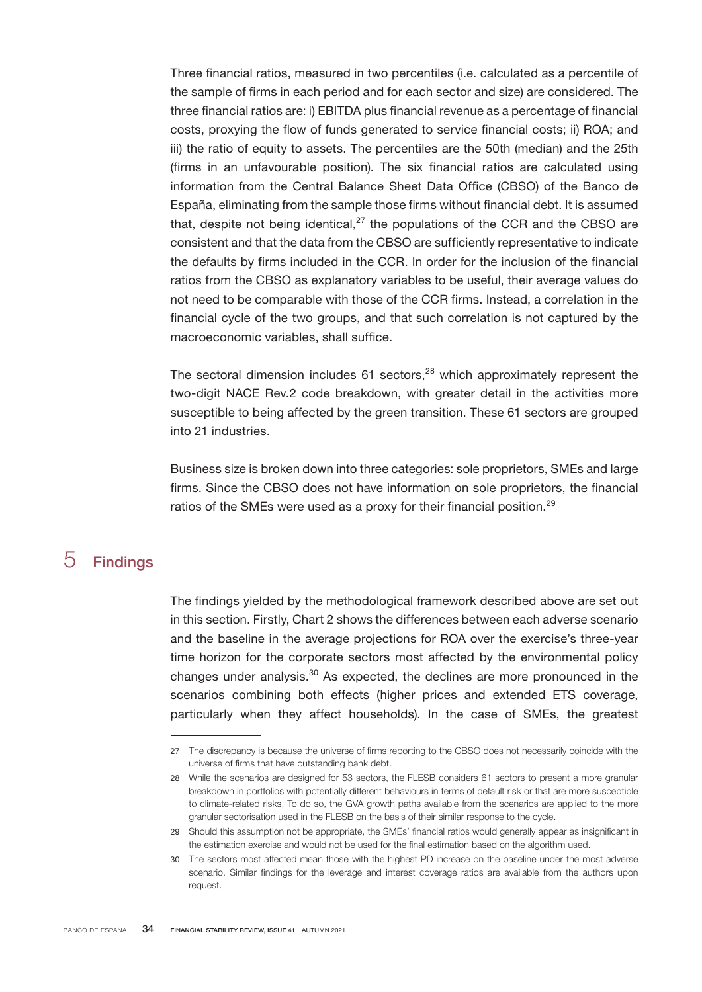Three financial ratios, measured in two percentiles (i.e. calculated as a percentile of the sample of firms in each period and for each sector and size) are considered. The three financial ratios are: i) EBITDA plus financial revenue as a percentage of financial costs, proxying the flow of funds generated to service financial costs; ii) ROA; and iii) the ratio of equity to assets. The percentiles are the 50th (median) and the 25th (firms in an unfavourable position). The six financial ratios are calculated using information from the Central Balance Sheet Data Office (CBSO) of the Banco de España, eliminating from the sample those firms without financial debt. It is assumed that, despite not being identical, $27$  the populations of the CCR and the CBSO are consistent and that the data from the CBSO are sufficiently representative to indicate the defaults by firms included in the CCR. In order for the inclusion of the financial ratios from the CBSO as explanatory variables to be useful, their average values do not need to be comparable with those of the CCR firms. Instead, a correlation in the financial cycle of the two groups, and that such correlation is not captured by the macroeconomic variables, shall suffice.

The sectoral dimension includes  $61$  sectors,<sup>28</sup> which approximately represent the two-digit NACE Rev.2 code breakdown, with greater detail in the activities more susceptible to being affected by the green transition. These 61 sectors are grouped into 21 industries.

Business size is broken down into three categories: sole proprietors, SMEs and large firms. Since the CBSO does not have information on sole proprietors, the financial ratios of the SMEs were used as a proxy for their financial position.<sup>29</sup>

# 5 Findings

The findings yielded by the methodological framework described above are set out in this section. Firstly, Chart 2 shows the differences between each adverse scenario and the baseline in the average projections for ROA over the exercise's three-year time horizon for the corporate sectors most affected by the environmental policy changes under analysis.<sup>30</sup> As expected, the declines are more pronounced in the scenarios combining both effects (higher prices and extended ETS coverage, particularly when they affect households). In the case of SMEs, the greatest

<sup>27</sup> The discrepancy is because the universe of firms reporting to the CBSO does not necessarily coincide with the universe of firms that have outstanding bank debt.

<sup>28</sup> While the scenarios are designed for 53 sectors, the FLESB considers 61 sectors to present a more granular breakdown in portfolios with potentially different behaviours in terms of default risk or that are more susceptible to climate-related risks. To do so, the GVA growth paths available from the scenarios are applied to the more granular sectorisation used in the FLESB on the basis of their similar response to the cycle.

<sup>29</sup> Should this assumption not be appropriate, the SMEs' financial ratios would generally appear as insignificant in the estimation exercise and would not be used for the final estimation based on the algorithm used.

<sup>30</sup> The sectors most affected mean those with the highest PD increase on the baseline under the most adverse scenario. Similar findings for the leverage and interest coverage ratios are available from the authors upon request.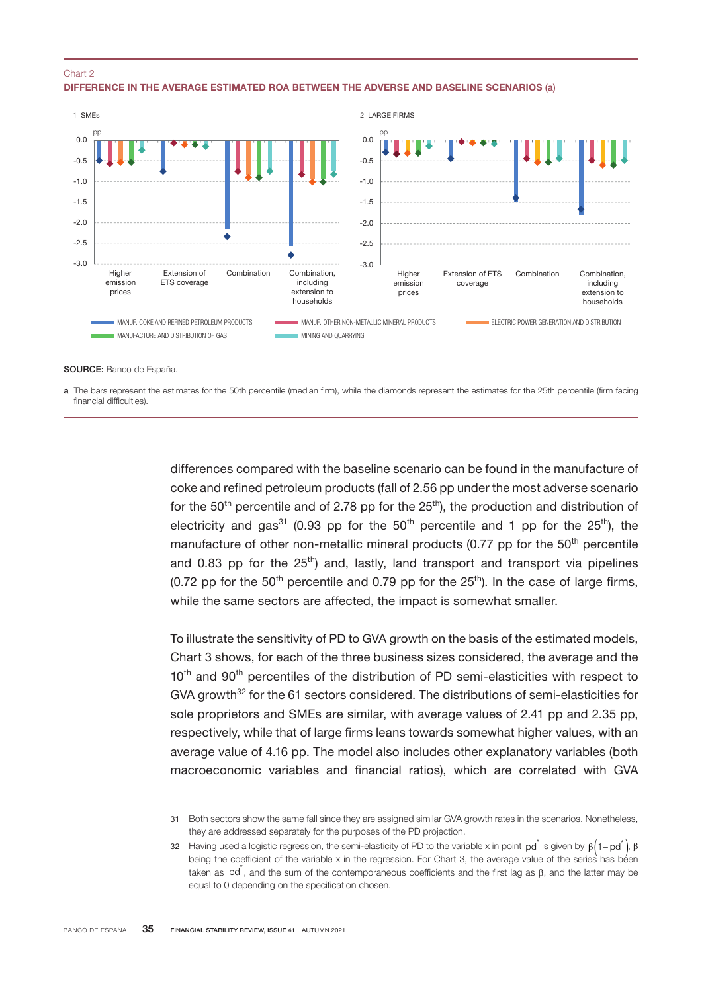#### Chart 2

#### DIFFERENCE IN THE AVERAGE ESTIMATED ROA BETWEEN THE ADVERSE AND BASELINE SCENARIOS (a)



SOURCE: Banco de España.

a The bars represent the estimates for the 50th percentile (median firm), while the diamonds represent the estimates for the 25th percentile (firm facing financial difficulties).

> differences compared with the baseline scenario can be found in the manufacture of coke and refined petroleum products (fall of 2.56 pp under the most adverse scenario for the  $50<sup>th</sup>$  percentile and of 2.78 pp for the  $25<sup>th</sup>$ ), the production and distribution of electricity and gas<sup>31</sup> (0.93 pp for the 50<sup>th</sup> percentile and 1 pp for the 25<sup>th</sup>), the manufacture of other non-metallic mineral products (0.77 pp for the  $50<sup>th</sup>$  percentile and 0.83 pp for the  $25<sup>th</sup>$ ) and, lastly, land transport and transport via pipelines (0.72 pp for the  $50<sup>th</sup>$  percentile and 0.79 pp for the  $25<sup>th</sup>$ ). In the case of large firms, while the same sectors are affected, the impact is somewhat smaller.

> To illustrate the sensitivity of PD to GVA growth on the basis of the estimated models, Chart 3 shows, for each of the three business sizes considered, the average and the 10<sup>th</sup> and 90<sup>th</sup> percentiles of the distribution of PD semi-elasticities with respect to GVA growth<sup>32</sup> for the 61 sectors considered. The distributions of semi-elasticities for sole proprietors and SMEs are similar, with average values of 2.41 pp and 2.35 pp, respectively, while that of large firms leans towards somewhat higher values, with an average value of 4.16 pp. The model also includes other explanatory variables (both macroeconomic variables and financial ratios), which are correlated with GVA

<sup>31</sup> Both sectors show the same fall since they are assigned similar GVA growth rates in the scenarios. Nonetheless, they are addressed separately for the purposes of the PD projection.

<sup>32</sup> Having used a logistic regression, the semi-elasticity of PD to the variable x in point  $\rm{pd}^*$  is given by  $\rm{\beta(1-pd^*)}$ ,  $\rm{\beta}$ being the coefficient of the variable x in the regression. For Chart 3, the average value of the series has been taken as pd<sup>\*</sup>, and the sum of the contemporaneous coefficients and the first lag as  $\beta$ , and the latter may be equal to 0 depending on the specification chosen.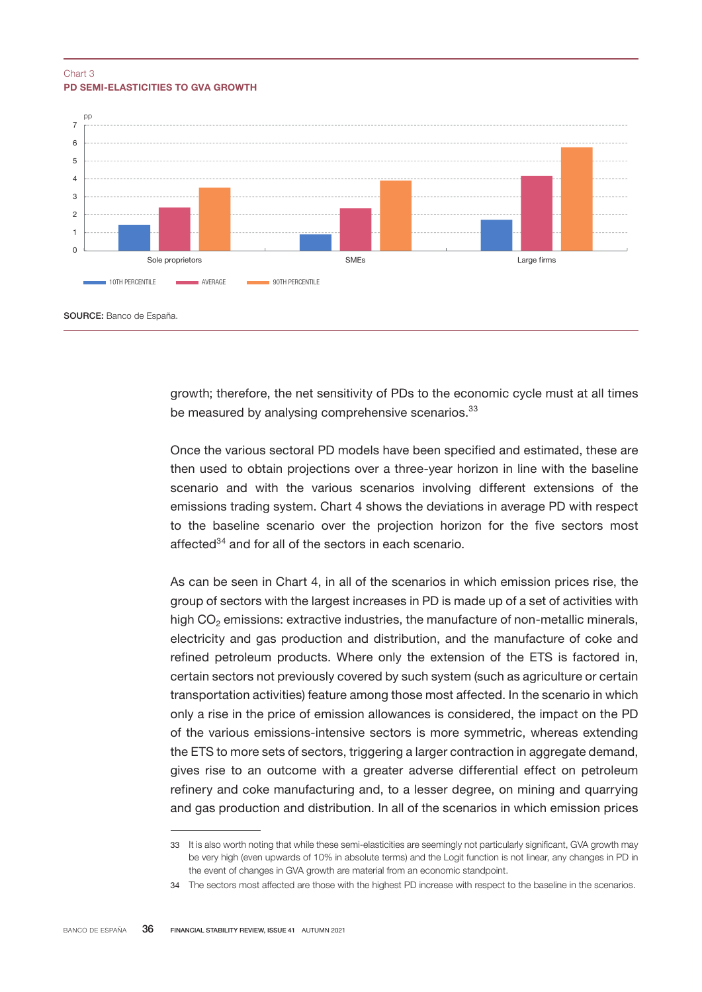### PD SEMI-ELASTICITIES TO GVA GROWTH Chart 3



growth; therefore, the net sensitivity of PDs to the economic cycle must at all times be measured by analysing comprehensive scenarios.<sup>33</sup>

Once the various sectoral PD models have been specified and estimated, these are then used to obtain projections over a three-year horizon in line with the baseline scenario and with the various scenarios involving different extensions of the emissions trading system. Chart 4 shows the deviations in average PD with respect to the baseline scenario over the projection horizon for the five sectors most affected $34$  and for all of the sectors in each scenario.

As can be seen in Chart 4, in all of the scenarios in which emission prices rise, the group of sectors with the largest increases in PD is made up of a set of activities with high CO<sub>2</sub> emissions: extractive industries, the manufacture of non-metallic minerals, electricity and gas production and distribution, and the manufacture of coke and refined petroleum products. Where only the extension of the ETS is factored in, certain sectors not previously covered by such system (such as agriculture or certain transportation activities) feature among those most affected. In the scenario in which only a rise in the price of emission allowances is considered, the impact on the PD of the various emissions-intensive sectors is more symmetric, whereas extending the ETS to more sets of sectors, triggering a larger contraction in aggregate demand, gives rise to an outcome with a greater adverse differential effect on petroleum refinery and coke manufacturing and, to a lesser degree, on mining and quarrying and gas production and distribution. In all of the scenarios in which emission prices

<sup>33</sup> It is also worth noting that while these semi-elasticities are seemingly not particularly significant, GVA growth may be very high (even upwards of 10% in absolute terms) and the Logit function is not linear, any changes in PD in the event of changes in GVA growth are material from an economic standpoint.

<sup>34</sup> The sectors most affected are those with the highest PD increase with respect to the baseline in the scenarios.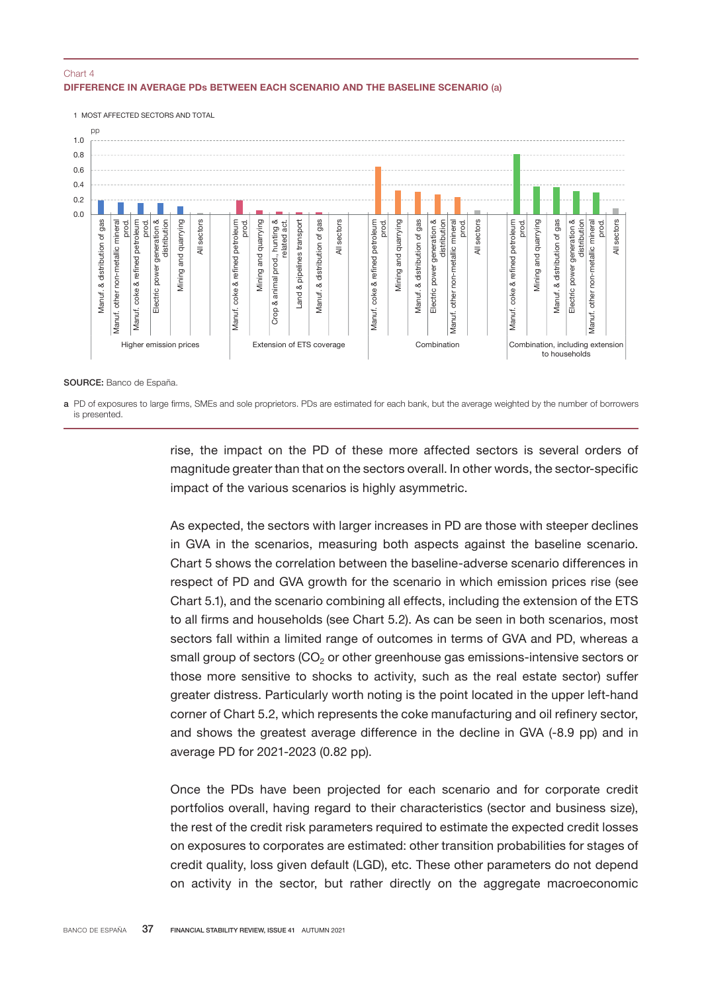### DIFFERENCE IN AVERAGE PDs BETWEEN EACH SCENARIO AND THE BASELINE SCENARIO (a) Chart 4



SOURCE: Banco de España.

a PD of exposures to large firms, SMEs and sole proprietors. PDs are estimated for each bank, but the average weighted by the number of borrowers is presented.

> rise, the impact on the PD of these more affected sectors is several orders of magnitude greater than that on the sectors overall. In other words, the sector-specific impact of the various scenarios is highly asymmetric.

> As expected, the sectors with larger increases in PD are those with steeper declines in GVA in the scenarios, measuring both aspects against the baseline scenario. Chart 5 shows the correlation between the baseline-adverse scenario differences in respect of PD and GVA growth for the scenario in which emission prices rise (see Chart 5.1), and the scenario combining all effects, including the extension of the ETS to all firms and households (see Chart 5.2). As can be seen in both scenarios, most sectors fall within a limited range of outcomes in terms of GVA and PD, whereas a small group of sectors  $(CO<sub>2</sub>)$  or other greenhouse gas emissions-intensive sectors or those more sensitive to shocks to activity, such as the real estate sector) suffer greater distress. Particularly worth noting is the point located in the upper left-hand corner of Chart 5.2, which represents the coke manufacturing and oil refinery sector, and shows the greatest average difference in the decline in GVA (-8.9 pp) and in average PD for 2021-2023 (0.82 pp).

> Once the PDs have been projected for each scenario and for corporate credit portfolios overall, having regard to their characteristics (sector and business size), the rest of the credit risk parameters required to estimate the expected credit losses on exposures to corporates are estimated: other transition probabilities for stages of credit quality, loss given default (LGD), etc. These other parameters do not depend on activity in the sector, but rather directly on the aggregate macroeconomic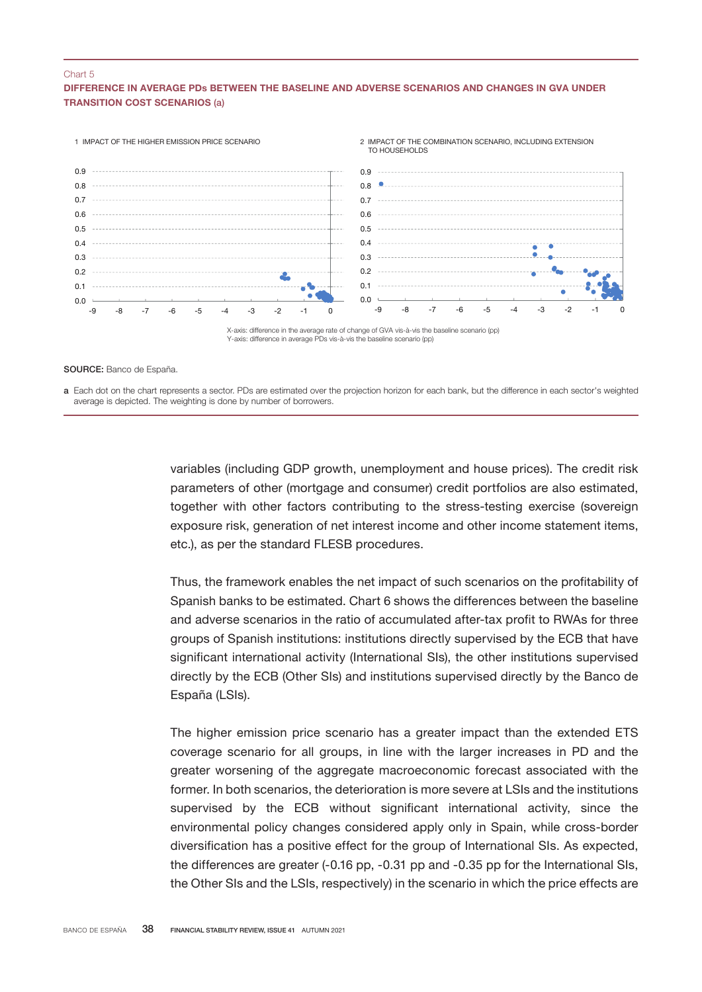#### Chart 5

### DIFFERENCE IN AVERAGE PDs BETWEEN THE BASELINE AND ADVERSE SCENARIOS AND CHANGES IN GVA UNDER TRANSITION COST SCENARIOS (a)



#### SOURCE: Banco de España.

a Each dot on the chart represents a sector. PDs are estimated over the projection horizon for each bank, but the difference in each sector's weighted average is depicted. The weighting is done by number of borrowers.

> variables (including GDP growth, unemployment and house prices). The credit risk parameters of other (mortgage and consumer) credit portfolios are also estimated, together with other factors contributing to the stress-testing exercise (sovereign exposure risk, generation of net interest income and other income statement items, etc.), as per the standard FLESB procedures.

> Thus, the framework enables the net impact of such scenarios on the profitability of Spanish banks to be estimated. Chart 6 shows the differences between the baseline and adverse scenarios in the ratio of accumulated after-tax profit to RWAs for three groups of Spanish institutions: institutions directly supervised by the ECB that have significant international activity (International SIs), the other institutions supervised directly by the ECB (Other SIs) and institutions supervised directly by the Banco de España (LSIs).

> The higher emission price scenario has a greater impact than the extended ETS coverage scenario for all groups, in line with the larger increases in PD and the greater worsening of the aggregate macroeconomic forecast associated with the former. In both scenarios, the deterioration is more severe at LSIs and the institutions supervised by the ECB without significant international activity, since the environmental policy changes considered apply only in Spain, while cross-border diversification has a positive effect for the group of International SIs. As expected, the differences are greater (-0.16 pp, -0.31 pp and -0.35 pp for the International SIs, the Other SIs and the LSIs, respectively) in the scenario in which the price effects are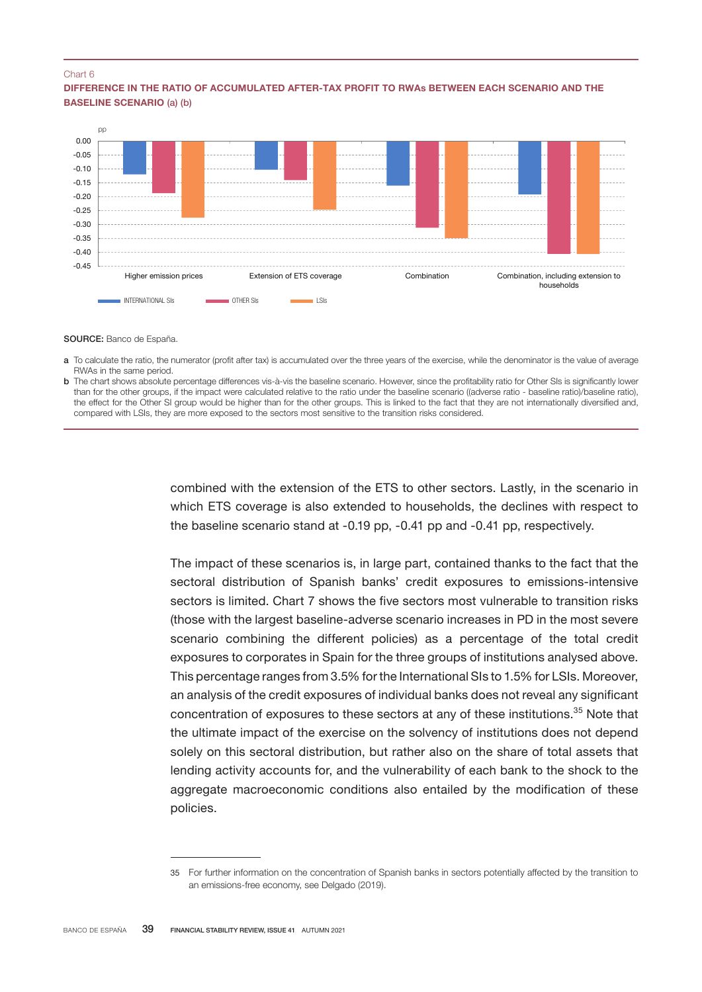#### Chart 6

#### DIFFERENCE IN THE RATIO OF ACCUMULATED AFTER-TAX PROFIT TO RWAs BETWEEN EACH SCENARIO AND THE BASELINE SCENARIO (a) (b)



SOURCE: Banco de España.

- a To calculate the ratio, the numerator (profit after tax) is accumulated over the three years of the exercise, while the denominator is the value of average RWAs in the same period.
- b The chart shows absolute percentage differences vis-à-vis the baseline scenario. However, since the profitability ratio for Other SIs is significantly lower than for the other groups, if the impact were calculated relative to the ratio under the baseline scenario ((adverse ratio - baseline ratio)/baseline ratio), the effect for the Other SI group would be higher than for the other groups. This is linked to the fact that they are not internationally diversified and, compared with LSIs, they are more exposed to the sectors most sensitive to the transition risks considered.

combined with the extension of the ETS to other sectors. Lastly, in the scenario in which ETS coverage is also extended to households, the declines with respect to the baseline scenario stand at -0.19 pp, -0.41 pp and -0.41 pp, respectively.

The impact of these scenarios is, in large part, contained thanks to the fact that the sectoral distribution of Spanish banks' credit exposures to emissions-intensive sectors is limited. Chart 7 shows the five sectors most vulnerable to transition risks (those with the largest baseline-adverse scenario increases in PD in the most severe scenario combining the different policies) as a percentage of the total credit exposures to corporates in Spain for the three groups of institutions analysed above. This percentage ranges from 3.5% for the International SIs to 1.5% for LSIs. Moreover, an analysis of the credit exposures of individual banks does not reveal any significant concentration of exposures to these sectors at any of these institutions.<sup>35</sup> Note that the ultimate impact of the exercise on the solvency of institutions does not depend solely on this sectoral distribution, but rather also on the share of total assets that lending activity accounts for, and the vulnerability of each bank to the shock to the aggregate macroeconomic conditions also entailed by the modification of these policies.

<sup>35</sup> For further information on the concentration of Spanish banks in sectors potentially affected by the transition to an emissions-free economy, see Delgado (2019).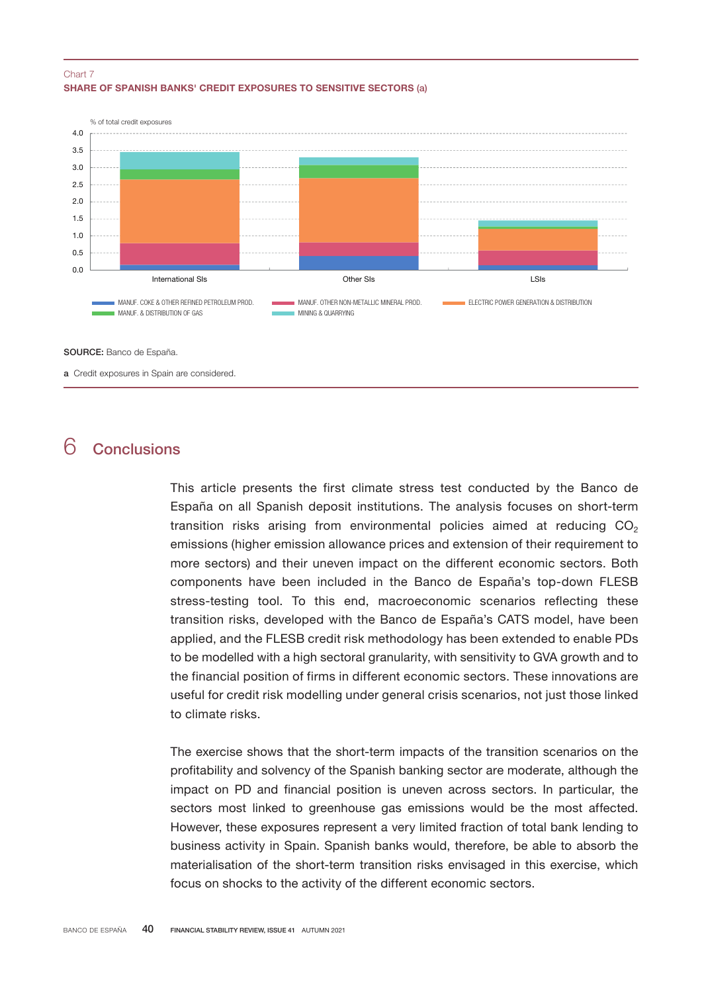### SHARE OF SPANISH BANKS' CREDIT EXPOSURES TO SENSITIVE SECTORS (a) Chart 7



SOURCE: Banco de España.

a Credit exposures in Spain are considered.

## 6 Conclusions

This article presents the first climate stress test conducted by the Banco de España on all Spanish deposit institutions. The analysis focuses on short-term transition risks arising from environmental policies aimed at reducing  $CO<sub>2</sub>$ emissions (higher emission allowance prices and extension of their requirement to more sectors) and their uneven impact on the different economic sectors. Both components have been included in the Banco de España's top-down FLESB stress-testing tool. To this end, macroeconomic scenarios reflecting these transition risks, developed with the Banco de España's CATS model, have been applied, and the FLESB credit risk methodology has been extended to enable PDs to be modelled with a high sectoral granularity, with sensitivity to GVA growth and to the financial position of firms in different economic sectors. These innovations are useful for credit risk modelling under general crisis scenarios, not just those linked to climate risks.

The exercise shows that the short-term impacts of the transition scenarios on the profitability and solvency of the Spanish banking sector are moderate, although the impact on PD and financial position is uneven across sectors. In particular, the sectors most linked to greenhouse gas emissions would be the most affected. However, these exposures represent a very limited fraction of total bank lending to business activity in Spain. Spanish banks would, therefore, be able to absorb the materialisation of the short-term transition risks envisaged in this exercise, which focus on shocks to the activity of the different economic sectors.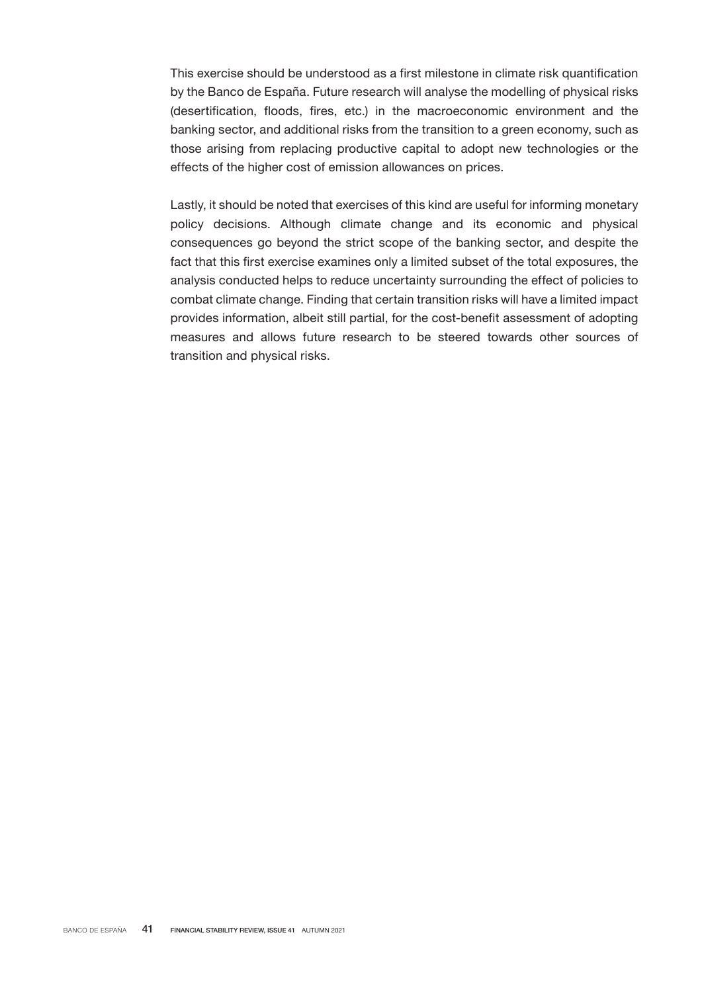This exercise should be understood as a first milestone in climate risk quantification by the Banco de España. Future research will analyse the modelling of physical risks (desertification, floods, fires, etc.) in the macroeconomic environment and the banking sector, and additional risks from the transition to a green economy, such as those arising from replacing productive capital to adopt new technologies or the effects of the higher cost of emission allowances on prices.

Lastly, it should be noted that exercises of this kind are useful for informing monetary policy decisions. Although climate change and its economic and physical consequences go beyond the strict scope of the banking sector, and despite the fact that this first exercise examines only a limited subset of the total exposures, the analysis conducted helps to reduce uncertainty surrounding the effect of policies to combat climate change. Finding that certain transition risks will have a limited impact provides information, albeit still partial, for the cost-benefit assessment of adopting measures and allows future research to be steered towards other sources of transition and physical risks.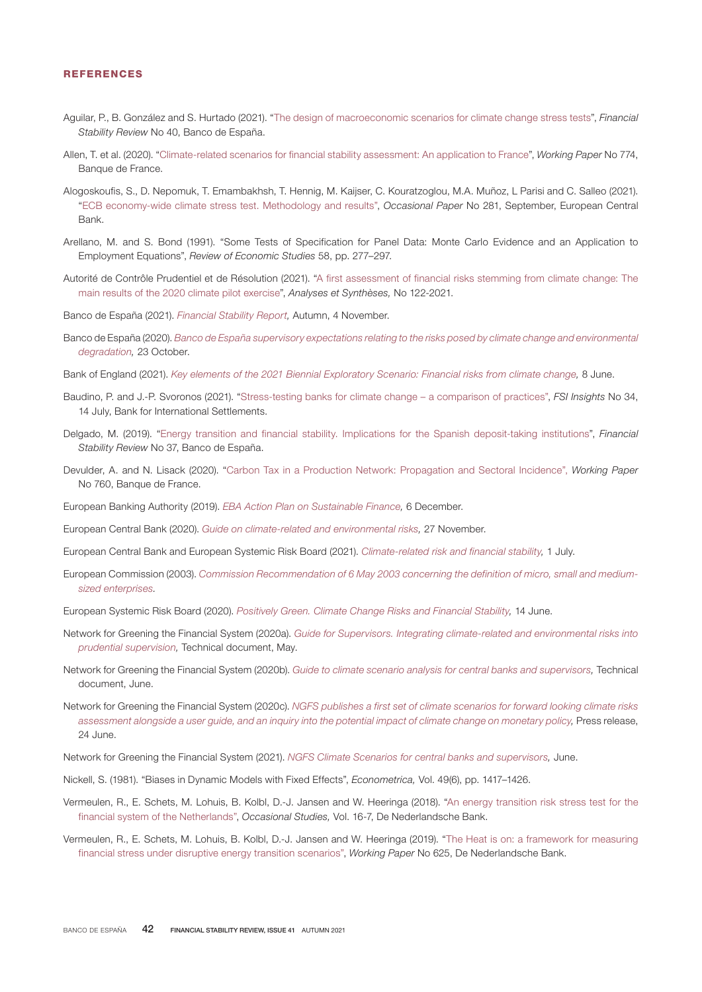#### REFERENCES

- Aguilar, P., B. González and S. Hurtado (2021). ["The design of macroeconomic scenarios for climate change stress tests](https://www.bde.es/f/webbde/Secciones/Publicaciones/InformesBoletinesRevistas/InformesEstabilidadFinancera/21/8_Escenarios_FSR.pdf)", *Financial Stability Review* No 40, Banco de España.
- Allen, T. et al. (2020). ["Climate-related scenarios for financial stability assessment: An application to France](https://publications.banque-france.fr/en/climate-related-scenarios-financial-stability-assessment-application-france)", *Working Paper* No 774, Banque de France.
- Alogoskoufis, S., D. Nepomuk, T. Emambakhsh, T. Hennig, M. Kaijser, C. Kouratzoglou, M.A. Muñoz, L Parisi and C. Salleo (2021). "[ECB economy-wide climate stress test. Methodology and results](https://www.ecb.europa.eu/pub/pdf/scpops/ecb.op281~05a7735b1c.en.pdf)", *Occasional Paper* No 281, September, European Central Bank.
- Arellano, M. and S. Bond (1991). "Some Tests of Specification for Panel Data: Monte Carlo Evidence and an Application to Employment Equations", *Review of Economic Studies* 58, pp. 277–297.
- Autorité de Contrôle Prudentiel et de Résolution (2021). ["A first assessment of financial risks stemming from climate change: The](https://acpr.banque-france.fr/sites/default/files/medias/documents/20210602_as_exercice_pilote_english.pdf) [main results of the 2020 climate pilot exercise](https://acpr.banque-france.fr/sites/default/files/medias/documents/20210602_as_exercice_pilote_english.pdf)", *Analyses et Synthèses,* No 122-2021.
- Banco de España (2021). *[Financial Stability Report,](https://www.bde.es/f/webbde/Secciones/Publicaciones/InformesBoletinesRevistas/InformesEstabilidadFinancera/21/FSR_Autumn2021.pdf)* Autumn, 4 November.
- Banco de España (2020). *[Banco de España supervisory expectations relating to the risks posed by climate change and environmental](https://www.bde.es/f/webbde/INF/MenuVertical/Supervision/Normativa_y_criterios/Recomendaciones_BdE/Banco_de_Espana_supervisory_expectations_relating_to_the_risks_posed_by_climate_change_and_environmental_degradation.pdf) [degradation,](https://www.bde.es/f/webbde/INF/MenuVertical/Supervision/Normativa_y_criterios/Recomendaciones_BdE/Banco_de_Espana_supervisory_expectations_relating_to_the_risks_posed_by_climate_change_and_environmental_degradation.pdf)* 23 October.
- Bank of England (2021). *[Key elements of the 2021 Biennial Exploratory Scenario: Financial risks from climate change,](https://www.bankofengland.co.uk/stress-testing/2021/key-elements-2021-biennial-exploratory-scenario-financial-risks-climate-change)* 8 June.
- Baudino, P. and J.-P. Svoronos (2021). "[Stress-testing banks for climate change a comparison of practices](https://www.bis.org/fsi/publ/insights34.pdf)", *FSI Insights* No 34, 14 July, Bank for International Settlements.
- Delgado, M. (2019). ["Energy transition and financial stability. Implications for the Spanish deposit-taking institutions"](https://www.bde.es/f/webbde/GAP/Secciones/Publicaciones/InformesBoletinesRevistas/RevistaEstabilidadFinanciera/19/noviembre/Energy_transition_Delgado.pdf), *Financial Stability Review* No 37, Banco de España.
- Devulder, A. and N. Lisack (2020). ["Carbon Tax in a Production Network: Propagation and Sectoral Incidence"](https://publications.banque-france.fr/en/carbon-tax-production-network-propagation-and-sectoral-incidence), *Working Paper* No 760, Banque de France.
- European Banking Authority (2019). *[EBA Action Plan on Sustainable Finance,](https://www.eba.europa.eu/sites/default/documents/files/document_library/EBA%20Action%20plan%20on%20sustainable%20finance.pdf)* 6 December.
- European Central Bank (2020). *[Guide on climate-related and environmental risks](https://www.bankingsupervision.europa.eu/ecb/pub/pdf/ssm.202011finalguideonclimate-relatedandenvironmentalrisks~58213f6564.en.pdf),* 27 November.
- European Central Bank and European Systemic Risk Board (2021). *[Climate-related risk and financial stability](https://www.ecb.europa.eu/pub/pdf/other/ecb.climateriskfinancialstability202107~87822fae81.en.pdf),* 1 July.
- European Commission (2003). [Commission Recommendation of 6 May 2003 concerning the definition of micro, small and medium](https://eur-lex.europa.eu/legal-content/En/TXT/?uri=celex%3A32003H0361)*[sized enterprises.](https://eur-lex.europa.eu/legal-content/En/TXT/?uri=celex%3A32003H0361)*
- European Systemic Risk Board (2020). *[Positively Green. Climate Change Risks and Financial Stability](https://www.esrb.europa.eu/pub/pdf/reports/esrb.report200608_on_Positively_green_-_Measuring_climate_change_risks_to_financial_stability~d903a83690.en.pdf?c5d033aa3c648ca0623f5a2306931e26),* 14 June.
- Network for Greening the Financial System (2020a). *[Guide for Supervisors. Integrating climate-related and environmental risks into](https://www.ngfs.net/sites/default/files/medias/documents/ngfs_guide_for_supervisors.pdf) [prudential supervision](https://www.ngfs.net/sites/default/files/medias/documents/ngfs_guide_for_supervisors.pdf),* Technical document, May.
- Network for Greening the Financial System (2020b). *[Guide to climate scenario analysis for central banks and supervisors,](https://www.ngfs.net/sites/default/files/medias/documents/ngfs_guide_scenario_analysis_final.pdf)* Technical document, June.
- Network for Greening the Financial System (2020c). *[NGFS publishes a first set of climate scenarios for forward looking climate risks](https://www.ngfs.net/en/communique-de-presse/ngfs-publishes-first-set-climate-scenarios-forward-looking-climate-risks-assessment-alongside-user) [assessment alongside a user guide, and an inquiry into the potential impact of climate change on monetary policy,](https://www.ngfs.net/en/communique-de-presse/ngfs-publishes-first-set-climate-scenarios-forward-looking-climate-risks-assessment-alongside-user)* Press release, 24 June.
- Network for Greening the Financial System (2021). *[NGFS Climate Scenarios for central banks and supervisors,](https://www.ngfs.net/sites/default/files/media/2021/08/27/ngfs_climate_scenarios_phase2_june2021.pdf)* June.
- Nickell, S. (1981). "Biases in Dynamic Models with Fixed Effects", *Econometrica,* Vol. 49(6), pp. 1417–1426.
- Vermeulen, R., E. Schets, M. Lohuis, B. Kolbl, D.-J. Jansen and W. Heeringa (2018). ["An energy transition risk stress test for the](https://www.dnb.nl/media/pdnpdalc/201810_nr-_7_-2018-_an_energy_transition_risk_stress_test_for_the_financial_system_of_the_netherlands.pdf) [financial system of the Netherlands](https://www.dnb.nl/media/pdnpdalc/201810_nr-_7_-2018-_an_energy_transition_risk_stress_test_for_the_financial_system_of_the_netherlands.pdf)", *Occasional Studies,* Vol. 16-7, De Nederlandsche Bank.
- Vermeulen, R., E. Schets, M. Lohuis, B. Kolbl, D.-J. Jansen and W. Heeringa (2019). ["The Heat is on: a framework for measuring](https://www.dnb.nl/media/jpuj1mgt/working-paper-no-625_tcm47-382291.pdf) [financial stress under disruptive energy transition scenarios"](https://www.dnb.nl/media/jpuj1mgt/working-paper-no-625_tcm47-382291.pdf), *Working Paper* No 625, De Nederlandsche Bank.